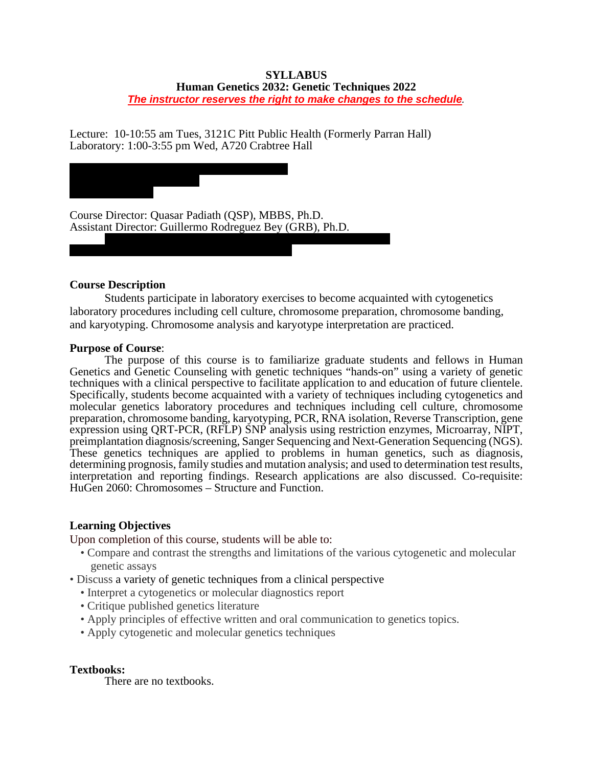### **SYLLABUS Human Genetics 2032: Genetic Techniques 2022** *The instructor reserves the right to make changes to the schedule.*

Lecture: 10-10:55 am Tues, 3121C Pitt Public Health (Formerly Parran Hall) Laboratory: 1:00-3:55 pm Wed, A720 Crabtree Hall



## **Course Description**

Students participate in laboratory exercises to become acquainted with cytogenetics laboratory procedures including cell culture, chromosome preparation, chromosome banding, and karyotyping. Chromosome analysis and karyotype interpretation are practiced.

## **Purpose of Course**:

The purpose of this course is to familiarize graduate students and fellows in Human Genetics and Genetic Counseling with genetic techniques "hands-on" using a variety of genetic techniques with a clinical perspective to facilitate application to and education of future clientele. Specifically, students become acquainted with a variety of techniques including cytogenetics and molecular genetics laboratory procedures and techniques including cell culture, chromosome preparation, chromosome banding, karyotyping, PCR, RNA isolation, Reverse Transcription, gene expression using QRT-PCR, (RFLP) SNP analysis using restriction enzymes, Microarray, NIPT, preimplantation diagnosis/screening, Sanger Sequencing and Next-Generation Sequencing (NGS). These genetics techniques are applied to problems in human genetics, such as diagnosis, determining prognosis, family studies and mutation analysis; and used to determination test results, interpretation and reporting findings. Research applications are also discussed. Co-requisite: HuGen 2060: Chromosomes – Structure and Function.

## **Learning Objectives**

Upon completion of this course, students will be able to:

- Compare and contrast the strengths and limitations of the various cytogenetic and molecular genetic assays
- Discuss a variety of genetic techniques from a clinical perspective
	- Interpret a cytogenetics or molecular diagnostics report
	- Critique published genetics literature
	- Apply principles of effective written and oral communication to genetics topics.
	- Apply cytogenetic and molecular genetics techniques

## **Textbooks:**

There are no textbooks.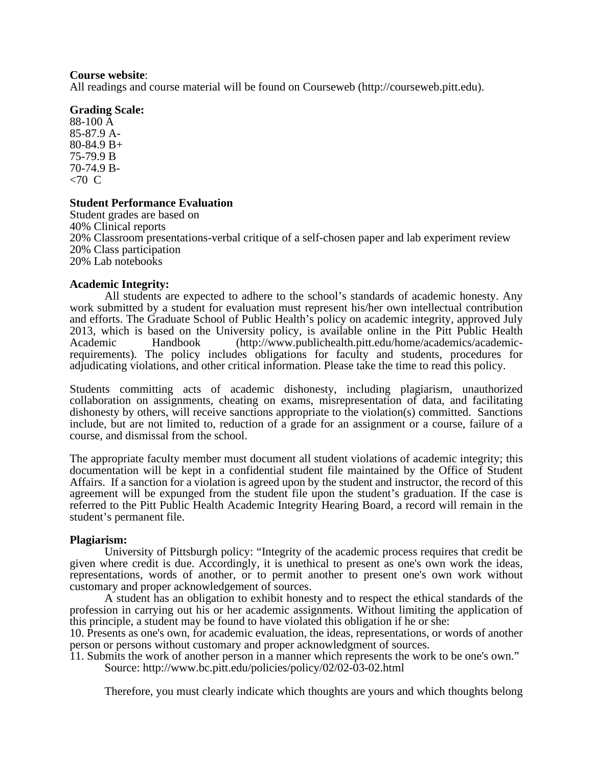#### **Course website**:

All readings and course material will be found on Courseweb [\(http://courseweb.pitt.edu\)](https://courseweb.pitt.edu/).

### **Grading Scale:**

88-100 Å<br>85-87.9 Å- $80-84.9 B+$ 75-79.9 B 70-74.9 B-<br><70 C

## **Student Performance Evaluation**

Student grades are based on 40% Clinical reports 20% Classroom presentations-verbal critique of a self-chosen paper and lab experiment review 20% Class participation 20% Lab notebooks

### **Academic Integrity:**

All students are expected to adhere to the school's standards of academic honesty. Any work submitted by a student for evaluation must represent his/her own intellectual contribution and efforts. The Graduate School of Public Health's policy on academic integrity, approved July 2013, which is based on the University policy, is available online in the Pitt Public Health Academic Handbook (http://www.publichealth.pitt.edu/home/academics/academic-Academic Handbook [\(](https://my.publichealth.pitt.edu/)[http://www.publichealth.pitt.edu/home/academics/academic-](http://www.publichealth.pitt.edu/home/academics/academic-requirements)<br>[requirements\)](http://www.publichealth.pitt.edu/home/academics/academic-requirements). The policy includes obligations for faculty and students, procedures for adjudicating violations, and other critical information. Please take the time to read this policy.

Students committing acts of academic dishonesty, including plagiarism, unauthorized collaboration on assignments, cheating on exams, misrepresentation of data, and facilitating dishonesty by others, will receive sanctions appropriate to the violation(s) committed. Sanctions include, but are not limited to, reduction of a grade for an assignment or a course, failure of a course, and dismissal from the school.

The appropriate faculty member must document all student violations of academic integrity; this documentation will be kept in a confidential student file maintained by the Office of Student Affairs. If a sanction for a violation is agreed upon by the student and instructor, the record of this agreement will be expunged from the student file upon the student's graduation. If the case is referred to the Pitt Public Health Academic Integrity Hearing Board, a record will remain in the student's permanent file.

### **Plagiarism:**

University of Pittsburgh policy: "Integrity of the academic process requires that credit be given where credit is due. Accordingly, it is unethical to present as one's own work the ideas, representations, words of another, or to permit another to present one's own work without customary and proper acknowledgement of sources.

A student has an obligation to exhibit honesty and to respect the ethical standards of the profession in carrying out his or her academic assignments. Without limiting the application of this principle, a student may be found to have violated this obligation if he or she:

10. Presents as one's own, for academic evaluation, the ideas, representations, or words of another person or persons without customary and proper acknowledgment of sources.

11. Submits the work of another person in a manner which represents the work to be one's own." Source: http://www.bc.pitt.edu/policies/policy/02/02-03-02.html

Therefore, you must clearly indicate which thoughts are yours and which thoughts belong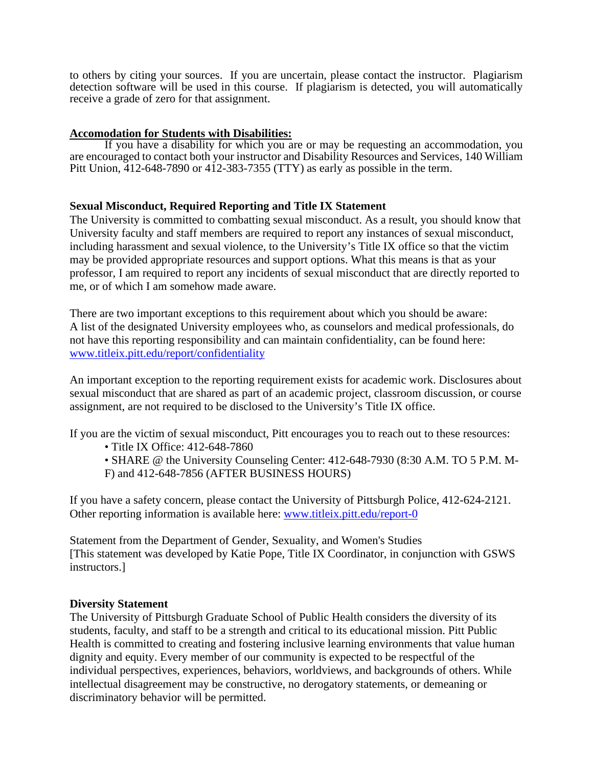to others by citing your sources. If you are uncertain, please contact the instructor. Plagiarism detection software will be used in this course. If plagiarism is detected, you will automatically receive a grade of zero for that assignment.

## **Accomodation for Students with Disabilities:**

If you have a disability for which you are or may be requesting an accommodation, you are encouraged to contact both your instructor an[d Disability Resources and Services,](http://www.drs.pitt.edu/) 140 William Pitt Union, 412-648-7890 or 412-383-7355 (TTY) as early as possible in the term.

# **Sexual Misconduct, Required Reporting and Title IX Statement**

The University is committed to combatting sexual misconduct. As a result, you should know that University faculty and staff members are required to report any instances of sexual misconduct, including harassment and sexual violence, to the University's Title IX office so that the victim may be provided appropriate resources and support options. What this means is that as your professor, I am required to report any incidents of sexual misconduct that are directly reported to me, or of which I am somehow made aware.

There are two important exceptions to this requirement about which you should be aware: A list of the designated University employees who, as counselors and medical professionals, do not have this reporting responsibility and can maintain confidentiality, can be found here: [www.titleix.pitt.edu/report/confidentiality](http://www.titleix.pitt.edu/report/confidentiality)

An important exception to the reporting requirement exists for academic work. Disclosures about sexual misconduct that are shared as part of an academic project, classroom discussion, or course assignment, are not required to be disclosed to the University's Title IX office.

If you are the victim of sexual misconduct, Pitt encourages you to reach out to these resources:

- Title IX Office: 412-648-7860
- SHARE @ the University Counseling Center: 412-648-7930 (8:30 A.M. TO 5 P.M. M-F) and 412-648-7856 (AFTER BUSINESS HOURS)

If you have a safety concern, please contact the University of Pittsburgh Police, 412-624-2121. Other reporting information is available here: [www.titleix.pitt.edu/report-0](http://www.titleix.pitt.edu/report-0)

Statement from the Department of Gender, Sexuality, and Women's Studies [This statement was developed by Katie Pope, Title IX Coordinator, in conjunction with GSWS instructors.]

## **Diversity Statement**

The University of Pittsburgh Graduate School of Public Health considers the diversity of its students, faculty, and staff to be a strength and critical to its educational mission. Pitt Public Health is committed to creating and fostering inclusive learning environments that value human dignity and equity. Every member of our community is expected to be respectful of the individual perspectives, experiences, behaviors, worldviews, and backgrounds of others. While intellectual disagreement may be constructive, no derogatory statements, or demeaning or discriminatory behavior will be permitted.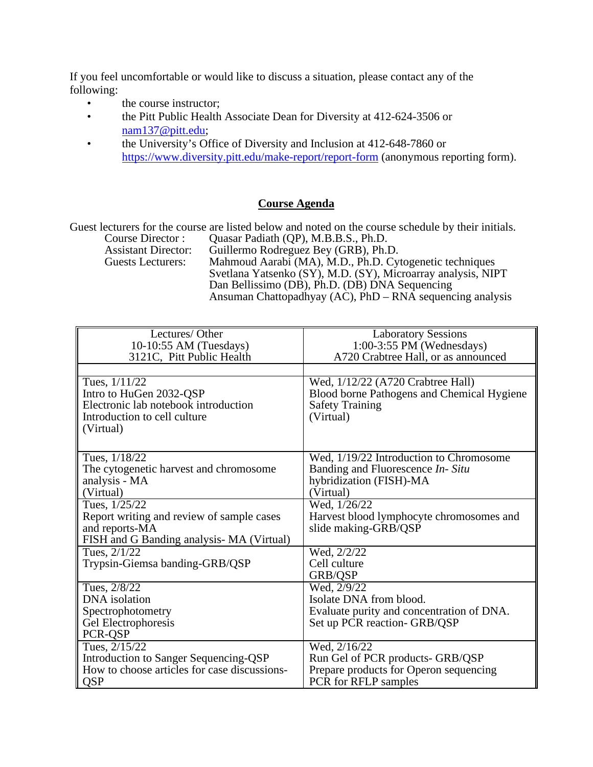If you feel uncomfortable or would like to discuss a situation, please contact any of the following:

- the course instructor;
- the Pitt Public Health Associate Dean for Diversity at 412-624-3506 or [nam137@pitt.edu;](file://gsph-fileserver.univ.pitt.edu/groups/Student%20Affairs/Education/EPCC/Syllabi%20for%20Web/nam137@pitt.edu)
- the University's Office of Diversity and Inclusion at 412-648-7860 or <https://www.diversity.pitt.edu/make-report/report-form> (anonymous reporting form).

## **Course Agenda**

Guest lecturers for the course are listed below and noted on the course schedule by their initials.<br>Course Director: Quasar Padiath (QP), M.B.B.S., Ph.D.

Course Director : Quasar Padiath (QP), M.B.B.S., Ph.D. Assistant Director: Guillermo Rodreguez Bey (GRB), Ph.D.<br>Guests Lecturers: Mahmoud Aarabi (MA), M.D., Ph.D. Cy Mahmoud Aarabi (MA), M.D., Ph.D. Cytogenetic techniques Svetlana Yatsenko (SY), M.D. (SY), Microarray analysis, NIPT Dan Bellissimo (DB), Ph.D. (DB) DNA Sequencing Ansuman Chattopadhyay (AC),  $\widehat{PhD} - \widehat{RNA}$  sequencing analysis

| Lectures/Other                               | <b>Laboratory Sessions</b>                 |
|----------------------------------------------|--------------------------------------------|
| 10-10:55 AM (Tuesdays)                       | $1:00-3:55$ PM (Wednesdays)                |
| 3121C, Pitt Public Health                    | A720 Crabtree Hall, or as announced        |
|                                              |                                            |
|                                              |                                            |
| Tues, $1/11/22$                              | Wed, $1/12/22$ (A720 Crabtree Hall)        |
| Intro to HuGen 2032-QSP                      | Blood borne Pathogens and Chemical Hygiene |
| Electronic lab notebook introduction         | <b>Safety Training</b>                     |
| Introduction to cell culture                 | (Virtual)                                  |
| (Virtual)                                    |                                            |
|                                              |                                            |
| Tues, $1/18/22$                              | Wed, 1/19/22 Introduction to Chromosome    |
| The cytogenetic harvest and chromosome       | Banding and Fluorescence In-Situ           |
| analysis - MA                                | hybridization (FISH)-MA                    |
| (Virtual)                                    | (Virtual)                                  |
| Tues, 1/25/22                                | Wed, 1/26/22                               |
| Report writing and review of sample cases    | Harvest blood lymphocyte chromosomes and   |
| and reports-MA                               | slide making-GRB/QSP                       |
| FISH and G Banding analysis- MA (Virtual)    |                                            |
| Tues, 2/1/22                                 | Wed, 2/2/22                                |
| Trypsin-Giemsa banding-GRB/QSP               | Cell culture                               |
|                                              | GRB/QSP                                    |
| Tues, 2/8/22                                 | $\overline{Wed}$ , 2/9/22                  |
| DNA isolation                                | Isolate DNA from blood.                    |
| Spectrophotometry                            | Evaluate purity and concentration of DNA.  |
| Gel Electrophoresis                          | Set up PCR reaction- GRB/QSP               |
| PCR-QSP                                      |                                            |
| Tues, 2/15/22                                | Wed, 2/16/22                               |
| <b>Introduction to Sanger Sequencing-QSP</b> | Run Gel of PCR products- GRB/QSP           |
| How to choose articles for case discussions- | Prepare products for Operon sequencing     |
| <b>QSP</b>                                   | PCR for RFLP samples                       |